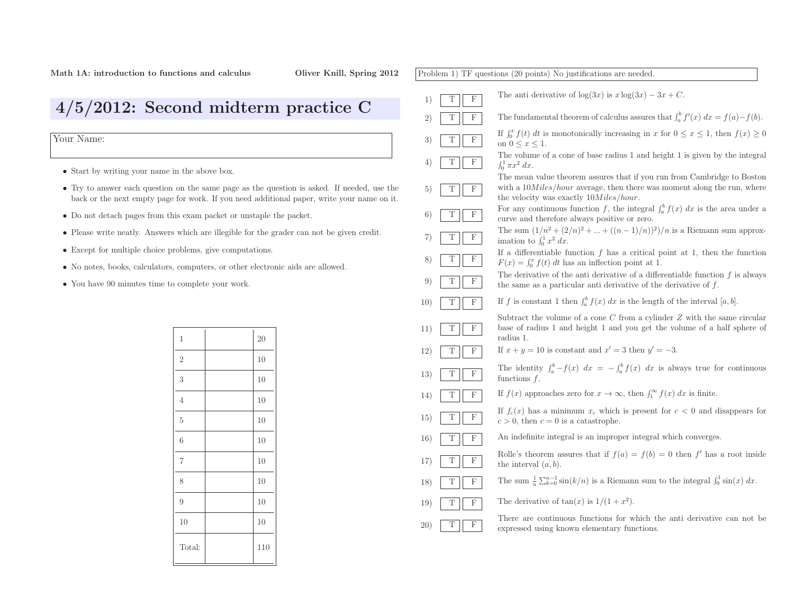|     |        | Problem 1) TF questions (20 points) No justifications are needed.                                                                                                                                 |
|-----|--------|---------------------------------------------------------------------------------------------------------------------------------------------------------------------------------------------------|
| 1)  | T<br>F | The anti-derivative of $\log(3x)$ is $x \log(3x) - 3x + C$ .                                                                                                                                      |
| 2)  | Τ<br>F | The fundamental theorem of calculus assures that $\int_a^b f'(x) dx = f(a) - f(b)$ .                                                                                                              |
| 3)  | F<br>Т | If $\int_0^x f(t) dt$ is monotonically increasing in x for $0 \le x \le 1$ , then $f(x) \ge 0$<br>on $0 \leq x \leq 1$ .                                                                          |
| 4)  | T<br>F | The volume of a cone of base radius 1 and height 1 is given by the integral<br>$\int_0^1 \pi x^2 dx.$                                                                                             |
| 5)  | Τ<br>F | The mean value theorem assures that if you run from Cambridge to Boston<br>with a $10Miles/hour$ average, then there was moment along the run, where<br>the velocity was exactly $10Miles/hour$ . |
| 6)  | Τ<br>F | For any continuous function f, the integral $\int_a^b f(x) dx$ is the area under a<br>curve and therefore always positive or zero.                                                                |
| 7)  | F<br>Τ | The sum $(1/n^2 + (2/n)^2 +  + ((n-1)/n))^2)/n$ is a Riemann sum approx-<br>imation to $\int_0^1 x^2 dx$ .                                                                                        |
| 8)  | F<br>Т | If a differentiable function $f$ has a critical point at 1, then the function<br>$F(x) = \int_0^x f(t) dt$ has an inflection point at 1.                                                          |
| 9)  | Τ<br>F | The derivative of the anti-derivative of a differentiable function $f$ is always<br>the same as a particular anti-derivative of the derivative of $f$ .                                           |
| 10) | Т<br>F | If f is constant 1 then $\int_a^b f(x) dx$ is the length of the interval [a, b].                                                                                                                  |
| 11) | Τ<br>F | Subtract the volume of a cone C from a cylinder $Z$ with the same circular<br>base of radius 1 and height 1 and you get the volume of a half sphere of<br>radius 1.                               |
| 12) | T<br>F | If $x + y = 10$ is constant and $x' = 3$ then $y' = -3$ .                                                                                                                                         |
| 13) | F<br>Т | The identity $\int_a^b -f(x) dx = -\int_a^b f(x) dx$ is always true for continuous<br>functions $f$ .                                                                                             |
| 14) | F<br>Т | If $f(x)$ approaches zero for $x \to \infty$ , then $\int_1^{\infty} f(x) dx$ is finite.                                                                                                          |
| 15) | F<br>Т | If $f_c(x)$ has a minimum $x_c$ which is present for $c < 0$ and disappears for<br>$c > 0$ , then $c = 0$ is a catastrophe.                                                                       |
| 16) | Т<br>F | An indefinite integral is an improper integral which converges.                                                                                                                                   |
| 17) | Τ<br>F | Rolle's theorem assures that if $f(a) = f(b) = 0$ then f' has a root inside<br>the interval $(a, b)$ .                                                                                            |
| 18) | F<br>Τ | The sum $\frac{1}{n} \sum_{k=0}^{n-1} \sin(k/n)$ is a Riemann sum to the integral $\int_0^1 \sin(x) dx$ .                                                                                         |
| 19) | Т<br>F | The derivative of $tan(x)$ is $1/(1+x^2)$ .                                                                                                                                                       |
| 20) | Τ<br>F | There are continuous functions for which the anti-derivative can not be<br>expressed using known elementary functions.                                                                            |
|     |        |                                                                                                                                                                                                   |

## 4/5/2012: Second midterm practice <sup>C</sup>

Your Name:

- Start by writing your name in the above box.
- Try to answer each question on the same page as the question is asked. If needed, use the back or the next empty page for work. If you need additional paper, write your name on it.
- Do not detach pages from this exam packet or unstaple the packet.
- Please write neatly. Answers which are illegible for the grader can not be <sup>g</sup>iven credit.
- Except for multiple choice problems, <sup>g</sup>ive computations.
- No notes, books, calculators, computers, or other electronic aids are allowed.
- You have <sup>90</sup> minutes time to complete your work.

| $\mathbf 1$    | 20  |
|----------------|-----|
| $\mathbf{2}$   | 10  |
| 3              | 10  |
| $\overline{4}$ | 10  |
| $\overline{5}$ | 10  |
| 6              | 10  |
| $\overline{7}$ | 10  |
| 8              | 10  |
| 9              | 10  |
| 10             | 10  |
| Total:         | 110 |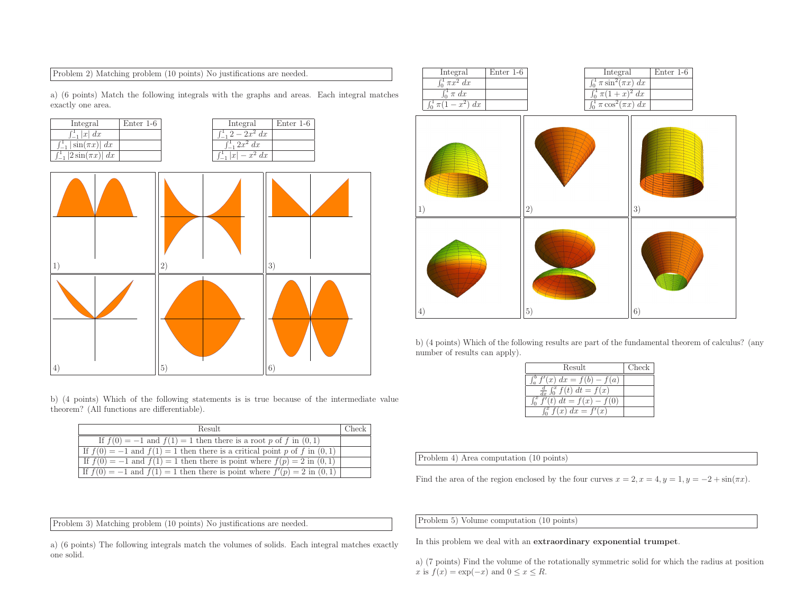Problem 2) Matching problem (10 points) No justifications are needed.

a) (6 points) Match the following integrals with the graphs and areas. Each integral matches exactly one area.



b) (4 points) Which of the following statements is is true because of the intermediate value theorem? (All functions are differentiable).

| Result                                                                          | Check |
|---------------------------------------------------------------------------------|-------|
| If $f(0) = -1$ and $f(1) = 1$ then there is a root p of f in $(0, 1)$           |       |
| If $f(0) = -1$ and $f(1) = 1$ then there is a critical point p of f in $(0, 1)$ |       |
| If $f(0) = -1$ and $f(1) = 1$ then there is point where $f(p) = 2$ in $(0, 1)$  |       |
| If $f(0) = -1$ and $f(1) = 1$ then there is point where $f'(p) = 2$ in $(0, 1)$ |       |

Problem 3) Matching problem (10 points) No justifications are needed.

a) (6 points) The following integrals match the volumes of solids. Each integral matches exactly one solid.



b) (4 points) Which of the following results are part of the fundamental theorem of calculus? (anynumber of results can apply).

| Result                                 | Check |
|----------------------------------------|-------|
| $\int_a^b f'(x) \ dx = f(b) - f(a)$    |       |
| $\frac{d}{dx} \int_0^x f(t) dt = f(x)$ |       |
| $\int_0^x f'(t) dt = f(x) - f(0)$      |       |
| $\int_0^x f(x) dx = f'(x)$             |       |
|                                        |       |

Problem 4) Area computation (10 points)

Find the area of the region enclosed by the four curves  $x = 2, x = 4, y = 1, y = -2 + \sin(\pi x)$ .

Problem 5) Volume computation (10 points)

In this problem we deal with an extraordinary exponential trumpet.

a) (7 points) Find the volume of the rotationally symmetric solid for which the radius at positionx is  $f(x) = \exp(-x)$  and  $0 \le x \le R$ .